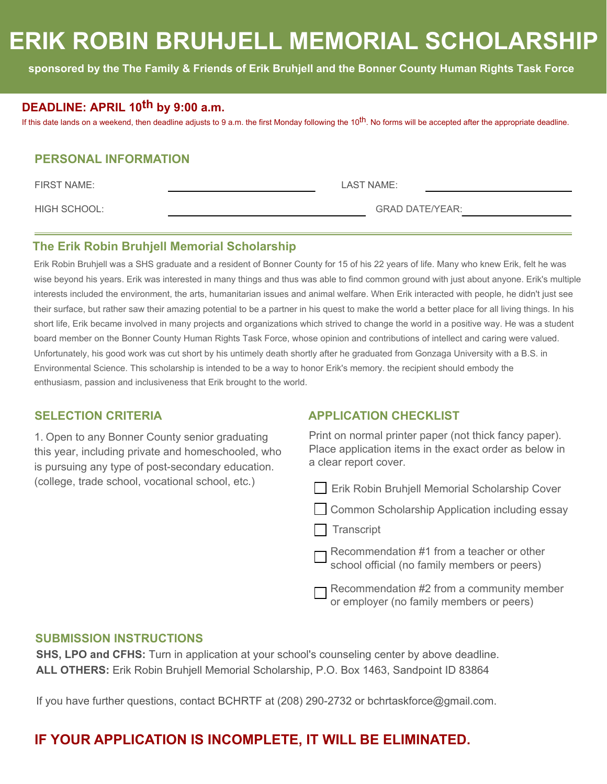# **ERIK ROBIN BRUHJELL MEMORIAL SCHOLARSHIP**

**sponsored by the The Family & Friends of Erik Bruhjell and the Bonner County Human Rights Task Force**

### **DEADLINE: APRIL 10th by 9:00 a.m.**

If this date lands on a weekend, then deadline adjusts to 9 a.m. the first Monday following the 10<sup>th</sup>. No forms will be accepted after the appropriate deadline.

### **PERSONAL INFORMATION**

FIRST NAME: LAST NAME:

HIGH SCHOOL: GRAD DATE/YEAR:

### **The Erik Robin Bruhjell Memorial Scholarship**

Erik Robin Bruhjell was a SHS graduate and a resident of Bonner County for 15 of his 22 years of life. Many who knew Erik, felt he was wise beyond his years. Erik was interested in many things and thus was able to find common ground with just about anyone. Erik's multiple interests included the environment, the arts, humanitarian issues and animal welfare. When Erik interacted with people, he didn't just see their surface, but rather saw their amazing potential to be a partner in his quest to make the world a better place for all living things. In his short life, Erik became involved in many projects and organizations which strived to change the world in a positive way. He was a student board member on the Bonner County Human Rights Task Force, whose opinion and contributions of intellect and caring were valued. Unfortunately, his good work was cut short by his untimely death shortly after he graduated from Gonzaga University with a B.S. in Environmental Science. This scholarship is intended to be a way to honor Erik's memory. the recipient should embody the enthusiasm, passion and inclusiveness that Erik brought to the world.

1. Open to any Bonner County senior graduating this year, including private and homeschooled, who is pursuing any type of post-secondary education. (college, trade school, vocational school, etc.)

### **SELECTION CRITERIA APPLICATION CHECKLIST**

Print on normal printer paper (not thick fancy paper). Place application items in the exact order as below in a clear report cover.

**Erik Robin Bruhjell Memorial Scholarship Cover** 

Common Scholarship Application including essay

 $\Box$  Transcript

Recommendation #1 from a teacher or other school official (no family members or peers)

Recommendation #2 from a community member or employer (no family members or peers)

### **SUBMISSION INSTRUCTIONS**

**SHS, LPO and CFHS:** Turn in application at your school's counseling center by above deadline. **ALL OTHERS:** Erik Robin Bruhjell Memorial Scholarship, P.O. Box 1463, Sandpoint ID 83864

If you have further questions, contact BCHRTF at (208) 290-2732 or bchrtaskforce@gmail.com.

## **IF YOUR APPLICATION IS INCOMPLETE, IT WILL BE ELIMINATED.**